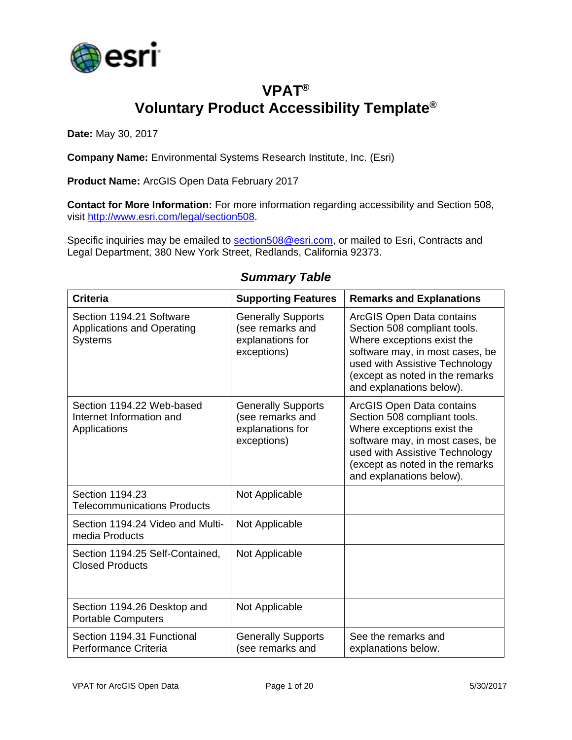

# **VPAT® Voluntary Product Accessibility Template®**

**Date:** May 30, 2017

**Company Name:** Environmental Systems Research Institute, Inc. (Esri)

**Product Name:** ArcGIS Open Data February 2017

**Contact for More Information:** For more information regarding accessibility and Section 508, visit [http://www.esri.com/legal/section508.](http://www.esri.com/legal/section508)

Specific inquiries may be emailed to [section508@esri.com,](mailto:section508@esri.com) or mailed to Esri, Contracts and Legal Department, 380 New York Street, Redlands, California 92373.

| <b>Criteria</b>                                                                 | <b>Supporting Features</b>                                                       | <b>Remarks and Explanations</b>                                                                                                                                                                                             |
|---------------------------------------------------------------------------------|----------------------------------------------------------------------------------|-----------------------------------------------------------------------------------------------------------------------------------------------------------------------------------------------------------------------------|
| Section 1194.21 Software<br><b>Applications and Operating</b><br><b>Systems</b> | <b>Generally Supports</b><br>(see remarks and<br>explanations for<br>exceptions) | ArcGIS Open Data contains<br>Section 508 compliant tools.<br>Where exceptions exist the<br>software may, in most cases, be<br>used with Assistive Technology<br>(except as noted in the remarks<br>and explanations below). |
| Section 1194.22 Web-based<br>Internet Information and<br>Applications           | <b>Generally Supports</b><br>(see remarks and<br>explanations for<br>exceptions) | ArcGIS Open Data contains<br>Section 508 compliant tools.<br>Where exceptions exist the<br>software may, in most cases, be<br>used with Assistive Technology<br>(except as noted in the remarks<br>and explanations below). |
| Section 1194.23<br><b>Telecommunications Products</b>                           | Not Applicable                                                                   |                                                                                                                                                                                                                             |
| Section 1194.24 Video and Multi-<br>media Products                              | Not Applicable                                                                   |                                                                                                                                                                                                                             |
| Section 1194.25 Self-Contained,<br><b>Closed Products</b>                       | Not Applicable                                                                   |                                                                                                                                                                                                                             |
| Section 1194.26 Desktop and<br><b>Portable Computers</b>                        | Not Applicable                                                                   |                                                                                                                                                                                                                             |
| Section 1194.31 Functional<br>Performance Criteria                              | <b>Generally Supports</b><br>(see remarks and                                    | See the remarks and<br>explanations below.                                                                                                                                                                                  |

#### *Summary Table*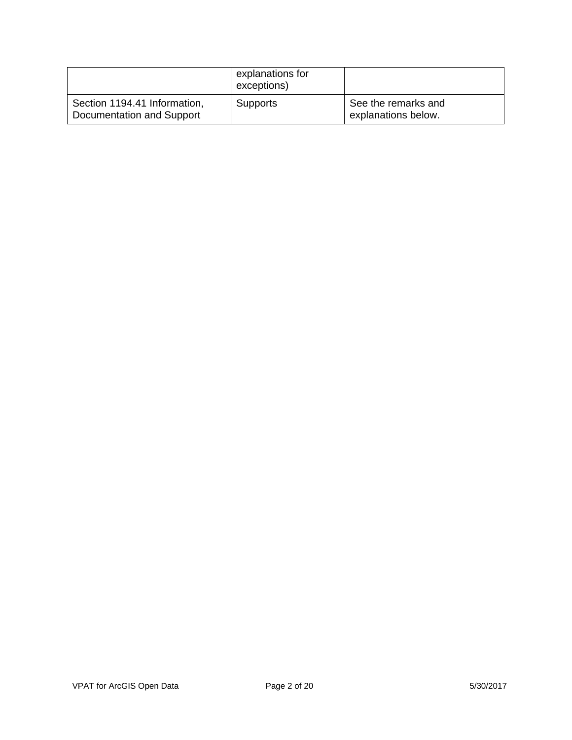|                                                           | explanations for<br>exceptions) |                                            |
|-----------------------------------------------------------|---------------------------------|--------------------------------------------|
| Section 1194.41 Information,<br>Documentation and Support | <b>Supports</b>                 | See the remarks and<br>explanations below. |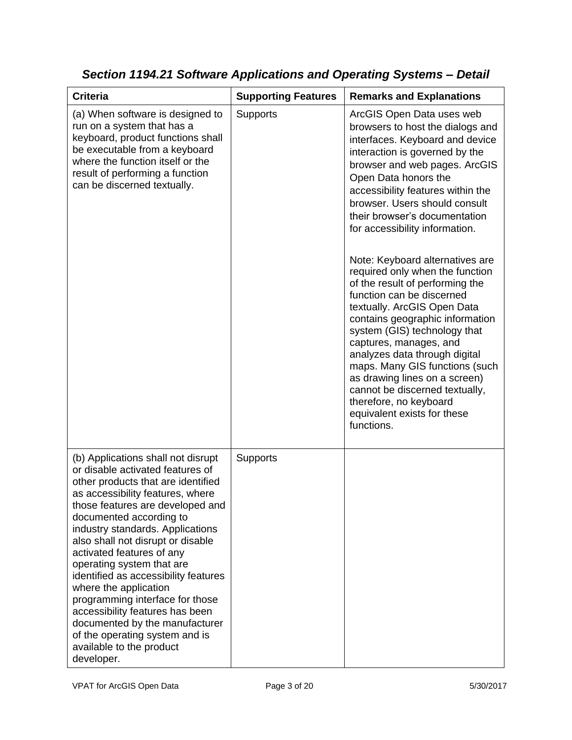| <b>Criteria</b>                                                                                                                                                                                                                                                                                                                                                                                                                                                                                                                                                                                         | <b>Supporting Features</b> | <b>Remarks and Explanations</b>                                                                                                                                                                                                                                                                                                                                                                            |
|---------------------------------------------------------------------------------------------------------------------------------------------------------------------------------------------------------------------------------------------------------------------------------------------------------------------------------------------------------------------------------------------------------------------------------------------------------------------------------------------------------------------------------------------------------------------------------------------------------|----------------------------|------------------------------------------------------------------------------------------------------------------------------------------------------------------------------------------------------------------------------------------------------------------------------------------------------------------------------------------------------------------------------------------------------------|
| (a) When software is designed to<br>run on a system that has a<br>keyboard, product functions shall<br>be executable from a keyboard<br>where the function itself or the<br>result of performing a function<br>can be discerned textually.                                                                                                                                                                                                                                                                                                                                                              | Supports                   | ArcGIS Open Data uses web<br>browsers to host the dialogs and<br>interfaces. Keyboard and device<br>interaction is governed by the<br>browser and web pages. ArcGIS<br>Open Data honors the<br>accessibility features within the<br>browser. Users should consult<br>their browser's documentation<br>for accessibility information.<br>Note: Keyboard alternatives are<br>required only when the function |
|                                                                                                                                                                                                                                                                                                                                                                                                                                                                                                                                                                                                         |                            | of the result of performing the<br>function can be discerned<br>textually. ArcGIS Open Data<br>contains geographic information<br>system (GIS) technology that<br>captures, manages, and<br>analyzes data through digital<br>maps. Many GIS functions (such<br>as drawing lines on a screen)<br>cannot be discerned textually,<br>therefore, no keyboard<br>equivalent exists for these<br>functions.      |
| (b) Applications shall not disrupt<br>or disable activated features of<br>other products that are identified<br>as accessibility features, where<br>those features are developed and<br>documented according to<br>industry standards. Applications<br>also shall not disrupt or disable<br>activated features of any<br>operating system that are<br>identified as accessibility features<br>where the application<br>programming interface for those<br>accessibility features has been<br>documented by the manufacturer<br>of the operating system and is<br>available to the product<br>developer. | <b>Supports</b>            |                                                                                                                                                                                                                                                                                                                                                                                                            |

*Section 1194.21 Software Applications and Operating Systems – Detail*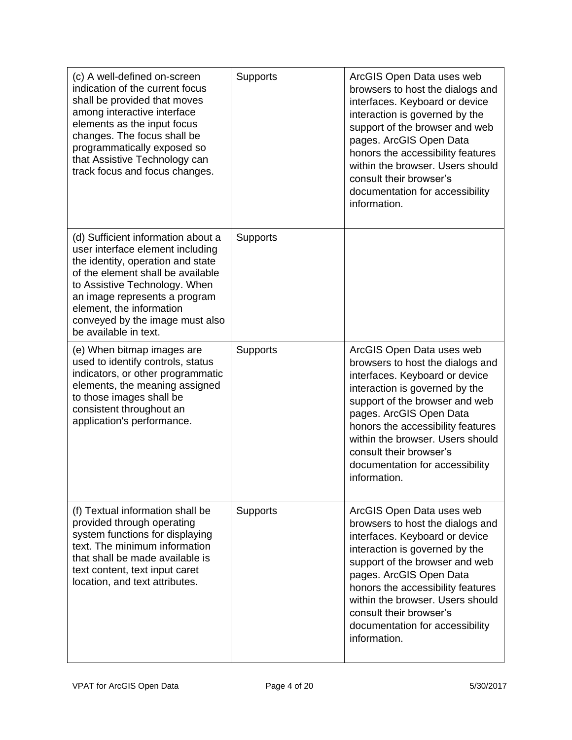| (c) A well-defined on-screen<br>indication of the current focus<br>shall be provided that moves<br>among interactive interface<br>elements as the input focus<br>changes. The focus shall be<br>programmatically exposed so<br>that Assistive Technology can<br>track focus and focus changes.             | <b>Supports</b> | ArcGIS Open Data uses web<br>browsers to host the dialogs and<br>interfaces. Keyboard or device<br>interaction is governed by the<br>support of the browser and web<br>pages. ArcGIS Open Data<br>honors the accessibility features<br>within the browser. Users should<br>consult their browser's<br>documentation for accessibility<br>information. |
|------------------------------------------------------------------------------------------------------------------------------------------------------------------------------------------------------------------------------------------------------------------------------------------------------------|-----------------|-------------------------------------------------------------------------------------------------------------------------------------------------------------------------------------------------------------------------------------------------------------------------------------------------------------------------------------------------------|
| (d) Sufficient information about a<br>user interface element including<br>the identity, operation and state<br>of the element shall be available<br>to Assistive Technology. When<br>an image represents a program<br>element, the information<br>conveyed by the image must also<br>be available in text. | <b>Supports</b> |                                                                                                                                                                                                                                                                                                                                                       |
| (e) When bitmap images are<br>used to identify controls, status<br>indicators, or other programmatic<br>elements, the meaning assigned<br>to those images shall be<br>consistent throughout an<br>application's performance.                                                                               | <b>Supports</b> | ArcGIS Open Data uses web<br>browsers to host the dialogs and<br>interfaces. Keyboard or device<br>interaction is governed by the<br>support of the browser and web<br>pages. ArcGIS Open Data<br>honors the accessibility features<br>within the browser. Users should<br>consult their browser's<br>documentation for accessibility<br>information. |
| (f) Textual information shall be<br>provided through operating<br>system functions for displaying<br>text. The minimum information<br>that shall be made available is<br>text content, text input caret<br>location, and text attributes.                                                                  | Supports        | ArcGIS Open Data uses web<br>browsers to host the dialogs and<br>interfaces. Keyboard or device<br>interaction is governed by the<br>support of the browser and web<br>pages. ArcGIS Open Data<br>honors the accessibility features<br>within the browser. Users should<br>consult their browser's<br>documentation for accessibility<br>information. |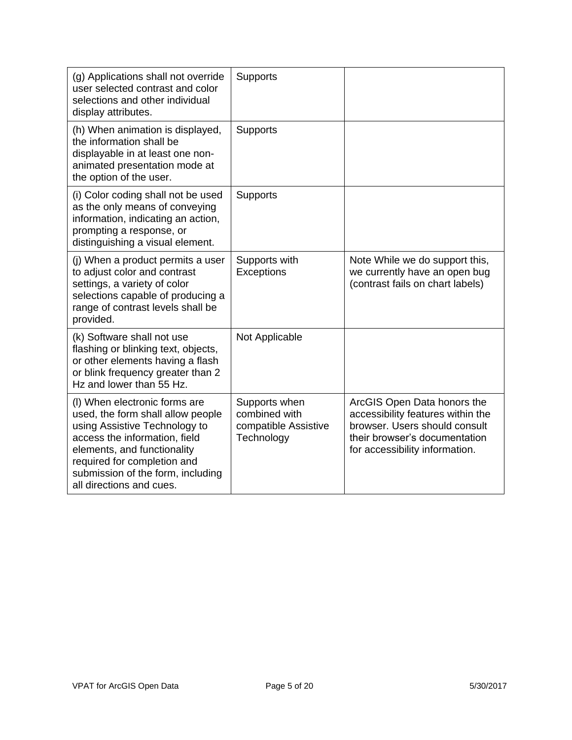| (g) Applications shall not override<br>user selected contrast and color<br>selections and other individual<br>display attributes.                                                                                                                                   | <b>Supports</b>                                                      |                                                                                                                                                                      |
|---------------------------------------------------------------------------------------------------------------------------------------------------------------------------------------------------------------------------------------------------------------------|----------------------------------------------------------------------|----------------------------------------------------------------------------------------------------------------------------------------------------------------------|
| (h) When animation is displayed,<br>the information shall be<br>displayable in at least one non-<br>animated presentation mode at<br>the option of the user.                                                                                                        | <b>Supports</b>                                                      |                                                                                                                                                                      |
| (i) Color coding shall not be used<br>as the only means of conveying<br>information, indicating an action,<br>prompting a response, or<br>distinguishing a visual element.                                                                                          | Supports                                                             |                                                                                                                                                                      |
| (i) When a product permits a user<br>to adjust color and contrast<br>settings, a variety of color<br>selections capable of producing a<br>range of contrast levels shall be<br>provided.                                                                            | Supports with<br>Exceptions                                          | Note While we do support this,<br>we currently have an open bug<br>(contrast fails on chart labels)                                                                  |
| (k) Software shall not use<br>flashing or blinking text, objects,<br>or other elements having a flash<br>or blink frequency greater than 2<br>Hz and lower than 55 Hz.                                                                                              | Not Applicable                                                       |                                                                                                                                                                      |
| (I) When electronic forms are<br>used, the form shall allow people<br>using Assistive Technology to<br>access the information, field<br>elements, and functionality<br>required for completion and<br>submission of the form, including<br>all directions and cues. | Supports when<br>combined with<br>compatible Assistive<br>Technology | ArcGIS Open Data honors the<br>accessibility features within the<br>browser. Users should consult<br>their browser's documentation<br>for accessibility information. |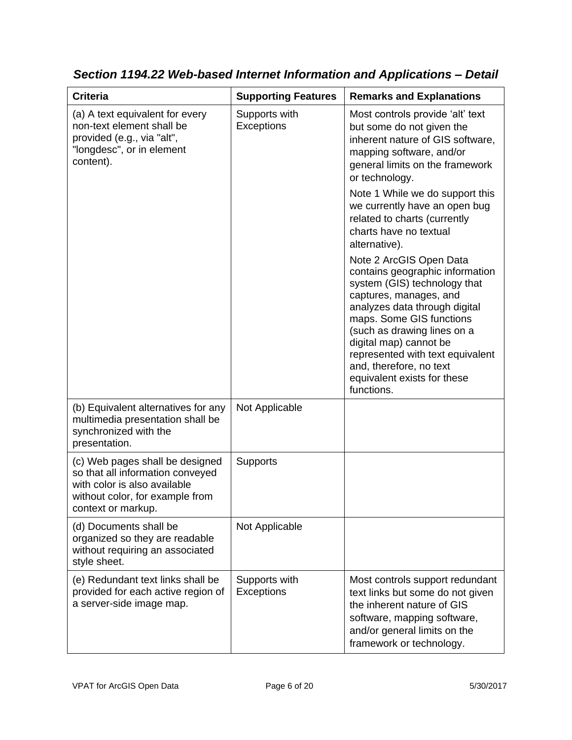| <b>Criteria</b>                                                                                                                                              | <b>Supporting Features</b>         | <b>Remarks and Explanations</b>                                                                                                                                                                                                                                                                                                                        |
|--------------------------------------------------------------------------------------------------------------------------------------------------------------|------------------------------------|--------------------------------------------------------------------------------------------------------------------------------------------------------------------------------------------------------------------------------------------------------------------------------------------------------------------------------------------------------|
| (a) A text equivalent for every<br>non-text element shall be<br>provided (e.g., via "alt",<br>"longdesc", or in element<br>content).                         | Supports with<br><b>Exceptions</b> | Most controls provide 'alt' text<br>but some do not given the<br>inherent nature of GIS software,<br>mapping software, and/or<br>general limits on the framework<br>or technology.                                                                                                                                                                     |
|                                                                                                                                                              |                                    | Note 1 While we do support this<br>we currently have an open bug<br>related to charts (currently<br>charts have no textual<br>alternative).                                                                                                                                                                                                            |
|                                                                                                                                                              |                                    | Note 2 ArcGIS Open Data<br>contains geographic information<br>system (GIS) technology that<br>captures, manages, and<br>analyzes data through digital<br>maps. Some GIS functions<br>(such as drawing lines on a<br>digital map) cannot be<br>represented with text equivalent<br>and, therefore, no text<br>equivalent exists for these<br>functions. |
| (b) Equivalent alternatives for any<br>multimedia presentation shall be<br>synchronized with the<br>presentation.                                            | Not Applicable                     |                                                                                                                                                                                                                                                                                                                                                        |
| (c) Web pages shall be designed<br>so that all information conveyed<br>with color is also available<br>without color, for example from<br>context or markup. | <b>Supports</b>                    |                                                                                                                                                                                                                                                                                                                                                        |
| (d) Documents shall be<br>organized so they are readable<br>without requiring an associated<br>style sheet.                                                  | Not Applicable                     |                                                                                                                                                                                                                                                                                                                                                        |
| (e) Redundant text links shall be<br>provided for each active region of<br>a server-side image map.                                                          | Supports with<br>Exceptions        | Most controls support redundant<br>text links but some do not given<br>the inherent nature of GIS<br>software, mapping software,<br>and/or general limits on the<br>framework or technology.                                                                                                                                                           |

*Section 1194.22 Web-based Internet Information and Applications – Detail*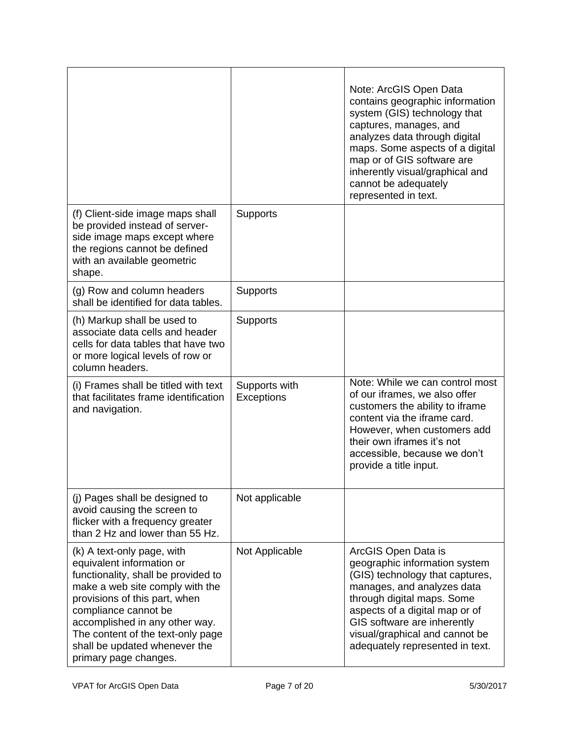|                                                                                                                                                                                                                                                                                                                             |                             | Note: ArcGIS Open Data<br>contains geographic information<br>system (GIS) technology that<br>captures, manages, and<br>analyzes data through digital<br>maps. Some aspects of a digital<br>map or of GIS software are<br>inherently visual/graphical and<br>cannot be adequately<br>represented in text. |
|-----------------------------------------------------------------------------------------------------------------------------------------------------------------------------------------------------------------------------------------------------------------------------------------------------------------------------|-----------------------------|----------------------------------------------------------------------------------------------------------------------------------------------------------------------------------------------------------------------------------------------------------------------------------------------------------|
| (f) Client-side image maps shall<br>be provided instead of server-<br>side image maps except where<br>the regions cannot be defined<br>with an available geometric<br>shape.                                                                                                                                                | <b>Supports</b>             |                                                                                                                                                                                                                                                                                                          |
| (g) Row and column headers<br>shall be identified for data tables.                                                                                                                                                                                                                                                          | <b>Supports</b>             |                                                                                                                                                                                                                                                                                                          |
| (h) Markup shall be used to<br>associate data cells and header<br>cells for data tables that have two<br>or more logical levels of row or<br>column headers.                                                                                                                                                                | <b>Supports</b>             |                                                                                                                                                                                                                                                                                                          |
| (i) Frames shall be titled with text<br>that facilitates frame identification<br>and navigation.                                                                                                                                                                                                                            | Supports with<br>Exceptions | Note: While we can control most<br>of our iframes, we also offer<br>customers the ability to iframe<br>content via the iframe card.<br>However, when customers add<br>their own iframes it's not<br>accessible, because we don't<br>provide a title input.                                               |
| (j) Pages shall be designed to<br>avoid causing the screen to<br>flicker with a frequency greater<br>than 2 Hz and lower than 55 Hz.                                                                                                                                                                                        | Not applicable              |                                                                                                                                                                                                                                                                                                          |
| (k) A text-only page, with<br>equivalent information or<br>functionality, shall be provided to<br>make a web site comply with the<br>provisions of this part, when<br>compliance cannot be<br>accomplished in any other way.<br>The content of the text-only page<br>shall be updated whenever the<br>primary page changes. | Not Applicable              | ArcGIS Open Data is<br>geographic information system<br>(GIS) technology that captures,<br>manages, and analyzes data<br>through digital maps. Some<br>aspects of a digital map or of<br>GIS software are inherently<br>visual/graphical and cannot be<br>adequately represented in text.                |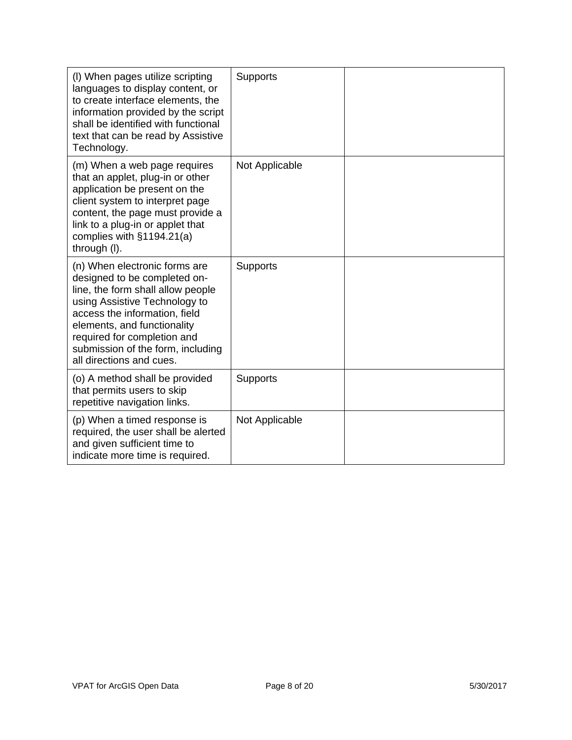| (I) When pages utilize scripting<br>languages to display content, or<br>to create interface elements, the<br>information provided by the script<br>shall be identified with functional<br>text that can be read by Assistive<br>Technology.                                                         | Supports        |  |
|-----------------------------------------------------------------------------------------------------------------------------------------------------------------------------------------------------------------------------------------------------------------------------------------------------|-----------------|--|
| (m) When a web page requires<br>that an applet, plug-in or other<br>application be present on the<br>client system to interpret page<br>content, the page must provide a<br>link to a plug-in or applet that<br>complies with §1194.21(a)<br>through (I).                                           | Not Applicable  |  |
| (n) When electronic forms are<br>designed to be completed on-<br>line, the form shall allow people<br>using Assistive Technology to<br>access the information, field<br>elements, and functionality<br>required for completion and<br>submission of the form, including<br>all directions and cues. | <b>Supports</b> |  |
| (o) A method shall be provided<br>that permits users to skip<br>repetitive navigation links.                                                                                                                                                                                                        | <b>Supports</b> |  |
| (p) When a timed response is<br>required, the user shall be alerted<br>and given sufficient time to<br>indicate more time is required.                                                                                                                                                              | Not Applicable  |  |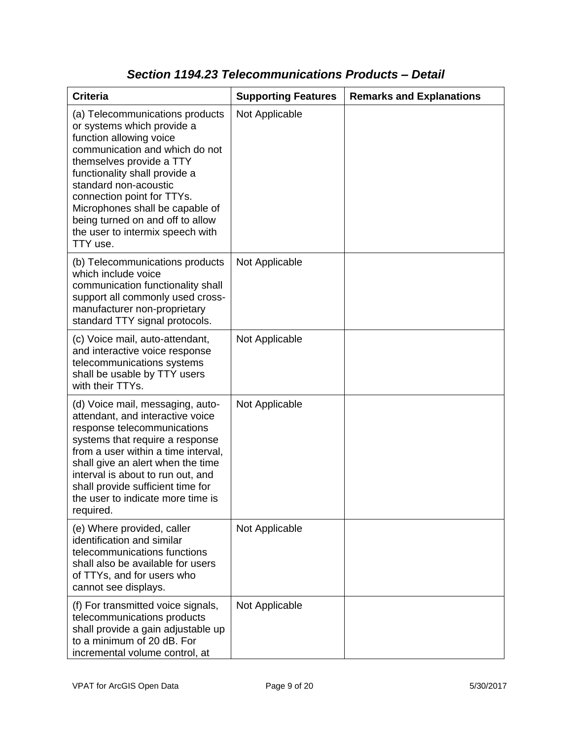| <b>Criteria</b>                                                                                                                                                                                                                                                                                                                                                       | <b>Supporting Features</b> | <b>Remarks and Explanations</b> |
|-----------------------------------------------------------------------------------------------------------------------------------------------------------------------------------------------------------------------------------------------------------------------------------------------------------------------------------------------------------------------|----------------------------|---------------------------------|
| (a) Telecommunications products<br>or systems which provide a<br>function allowing voice<br>communication and which do not<br>themselves provide a TTY<br>functionality shall provide a<br>standard non-acoustic<br>connection point for TTYs.<br>Microphones shall be capable of<br>being turned on and off to allow<br>the user to intermix speech with<br>TTY use. | Not Applicable             |                                 |
| (b) Telecommunications products<br>which include voice<br>communication functionality shall<br>support all commonly used cross-<br>manufacturer non-proprietary<br>standard TTY signal protocols.                                                                                                                                                                     | Not Applicable             |                                 |
| (c) Voice mail, auto-attendant,<br>and interactive voice response<br>telecommunications systems<br>shall be usable by TTY users<br>with their TTYs.                                                                                                                                                                                                                   | Not Applicable             |                                 |
| (d) Voice mail, messaging, auto-<br>attendant, and interactive voice<br>response telecommunications<br>systems that require a response<br>from a user within a time interval,<br>shall give an alert when the time<br>interval is about to run out, and<br>shall provide sufficient time for<br>the user to indicate more time is<br>required.                        | Not Applicable             |                                 |
| (e) Where provided, caller<br>identification and similar<br>telecommunications functions<br>shall also be available for users<br>of TTYs, and for users who<br>cannot see displays.                                                                                                                                                                                   | Not Applicable             |                                 |
| (f) For transmitted voice signals,<br>telecommunications products<br>shall provide a gain adjustable up<br>to a minimum of 20 dB. For<br>incremental volume control, at                                                                                                                                                                                               | Not Applicable             |                                 |

### *Section 1194.23 Telecommunications Products – Detail*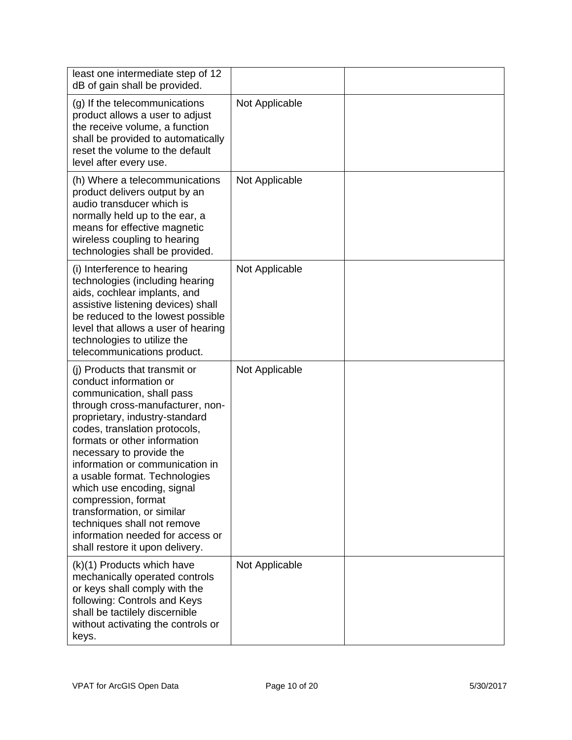| least one intermediate step of 12<br>dB of gain shall be provided.                                                                                                                                                                                                                                                                                                                                                                                                                                                   |                |  |
|----------------------------------------------------------------------------------------------------------------------------------------------------------------------------------------------------------------------------------------------------------------------------------------------------------------------------------------------------------------------------------------------------------------------------------------------------------------------------------------------------------------------|----------------|--|
| (g) If the telecommunications<br>product allows a user to adjust<br>the receive volume, a function<br>shall be provided to automatically<br>reset the volume to the default<br>level after every use.                                                                                                                                                                                                                                                                                                                | Not Applicable |  |
| (h) Where a telecommunications<br>product delivers output by an<br>audio transducer which is<br>normally held up to the ear, a<br>means for effective magnetic<br>wireless coupling to hearing<br>technologies shall be provided.                                                                                                                                                                                                                                                                                    | Not Applicable |  |
| (i) Interference to hearing<br>technologies (including hearing<br>aids, cochlear implants, and<br>assistive listening devices) shall<br>be reduced to the lowest possible<br>level that allows a user of hearing<br>technologies to utilize the<br>telecommunications product.                                                                                                                                                                                                                                       | Not Applicable |  |
| (i) Products that transmit or<br>conduct information or<br>communication, shall pass<br>through cross-manufacturer, non-<br>proprietary, industry-standard<br>codes, translation protocols,<br>formats or other information<br>necessary to provide the<br>information or communication in<br>a usable format. Technologies<br>which use encoding, signal<br>compression, format<br>transformation, or similar<br>techniques shall not remove<br>information needed for access or<br>shall restore it upon delivery. | Not Applicable |  |
| (k)(1) Products which have<br>mechanically operated controls<br>or keys shall comply with the<br>following: Controls and Keys<br>shall be tactilely discernible<br>without activating the controls or<br>keys.                                                                                                                                                                                                                                                                                                       | Not Applicable |  |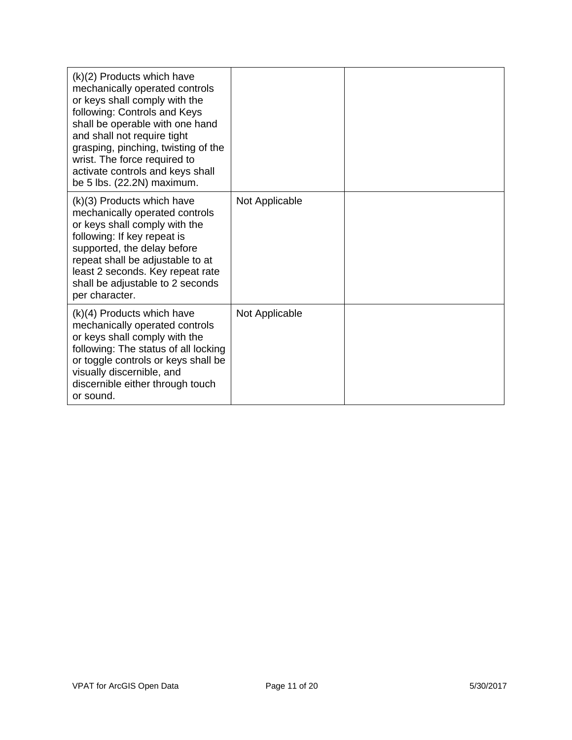| (k)(2) Products which have<br>mechanically operated controls<br>or keys shall comply with the<br>following: Controls and Keys<br>shall be operable with one hand<br>and shall not require tight<br>grasping, pinching, twisting of the<br>wrist. The force required to<br>activate controls and keys shall<br>be 5 lbs. (22.2N) maximum. |                |  |
|------------------------------------------------------------------------------------------------------------------------------------------------------------------------------------------------------------------------------------------------------------------------------------------------------------------------------------------|----------------|--|
| (k)(3) Products which have<br>mechanically operated controls<br>or keys shall comply with the<br>following: If key repeat is<br>supported, the delay before<br>repeat shall be adjustable to at<br>least 2 seconds. Key repeat rate<br>shall be adjustable to 2 seconds<br>per character.                                                | Not Applicable |  |
| $(k)(4)$ Products which have<br>mechanically operated controls<br>or keys shall comply with the<br>following: The status of all locking<br>or toggle controls or keys shall be<br>visually discernible, and<br>discernible either through touch<br>or sound.                                                                             | Not Applicable |  |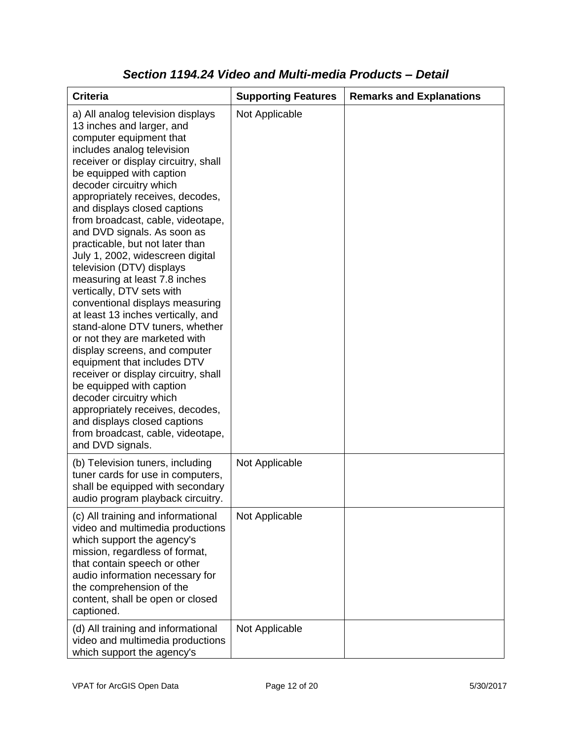| <b>Criteria</b>                                                                                                                                                                                                                                                                                                                                                                                                                                                                                                                                                                                                                                                                                                                                                                                                                                                                                                                                                           | <b>Supporting Features</b> | <b>Remarks and Explanations</b> |
|---------------------------------------------------------------------------------------------------------------------------------------------------------------------------------------------------------------------------------------------------------------------------------------------------------------------------------------------------------------------------------------------------------------------------------------------------------------------------------------------------------------------------------------------------------------------------------------------------------------------------------------------------------------------------------------------------------------------------------------------------------------------------------------------------------------------------------------------------------------------------------------------------------------------------------------------------------------------------|----------------------------|---------------------------------|
| a) All analog television displays<br>13 inches and larger, and<br>computer equipment that<br>includes analog television<br>receiver or display circuitry, shall<br>be equipped with caption<br>decoder circuitry which<br>appropriately receives, decodes,<br>and displays closed captions<br>from broadcast, cable, videotape,<br>and DVD signals. As soon as<br>practicable, but not later than<br>July 1, 2002, widescreen digital<br>television (DTV) displays<br>measuring at least 7.8 inches<br>vertically, DTV sets with<br>conventional displays measuring<br>at least 13 inches vertically, and<br>stand-alone DTV tuners, whether<br>or not they are marketed with<br>display screens, and computer<br>equipment that includes DTV<br>receiver or display circuitry, shall<br>be equipped with caption<br>decoder circuitry which<br>appropriately receives, decodes,<br>and displays closed captions<br>from broadcast, cable, videotape,<br>and DVD signals. | Not Applicable             |                                 |
| (b) Television tuners, including<br>tuner cards for use in computers,<br>shall be equipped with secondary<br>audio program playback circuitry.                                                                                                                                                                                                                                                                                                                                                                                                                                                                                                                                                                                                                                                                                                                                                                                                                            | Not Applicable             |                                 |
| (c) All training and informational<br>video and multimedia productions<br>which support the agency's<br>mission, regardless of format,<br>that contain speech or other<br>audio information necessary for<br>the comprehension of the<br>content, shall be open or closed<br>captioned.                                                                                                                                                                                                                                                                                                                                                                                                                                                                                                                                                                                                                                                                                   | Not Applicable             |                                 |
| (d) All training and informational<br>video and multimedia productions<br>which support the agency's                                                                                                                                                                                                                                                                                                                                                                                                                                                                                                                                                                                                                                                                                                                                                                                                                                                                      | Not Applicable             |                                 |

### *Section 1194.24 Video and Multi-media Products – Detail*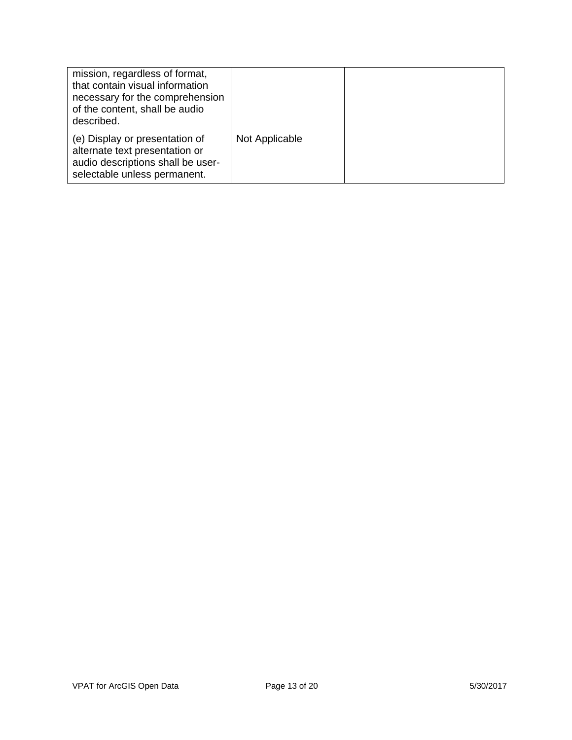| mission, regardless of format,<br>that contain visual information<br>necessary for the comprehension<br>of the content, shall be audio<br>described. |                |  |
|------------------------------------------------------------------------------------------------------------------------------------------------------|----------------|--|
| (e) Display or presentation of<br>alternate text presentation or<br>audio descriptions shall be user-<br>selectable unless permanent.                | Not Applicable |  |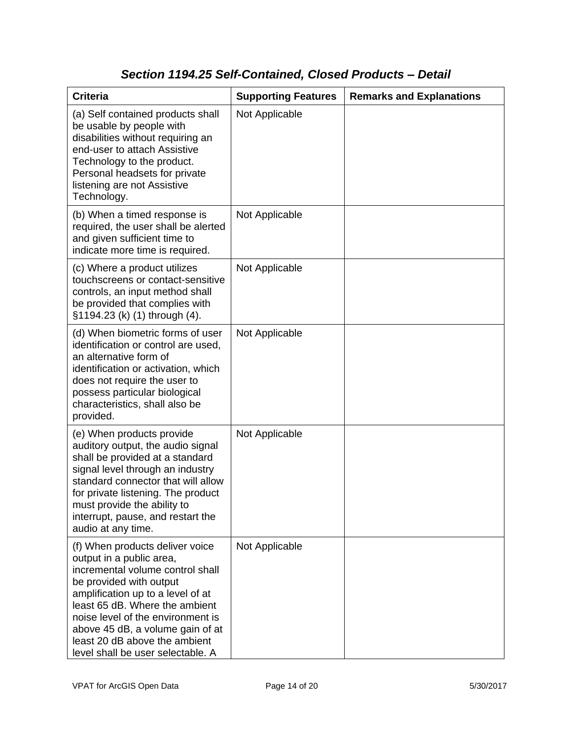## *Section 1194.25 Self-Contained, Closed Products – Detail*

| <b>Criteria</b>                                                                                                                                                                                                                                                                                                                                  | <b>Supporting Features</b> | <b>Remarks and Explanations</b> |
|--------------------------------------------------------------------------------------------------------------------------------------------------------------------------------------------------------------------------------------------------------------------------------------------------------------------------------------------------|----------------------------|---------------------------------|
| (a) Self contained products shall<br>be usable by people with<br>disabilities without requiring an<br>end-user to attach Assistive<br>Technology to the product.<br>Personal headsets for private<br>listening are not Assistive<br>Technology.                                                                                                  | Not Applicable             |                                 |
| (b) When a timed response is<br>required, the user shall be alerted<br>and given sufficient time to<br>indicate more time is required.                                                                                                                                                                                                           | Not Applicable             |                                 |
| (c) Where a product utilizes<br>touchscreens or contact-sensitive<br>controls, an input method shall<br>be provided that complies with<br>§1194.23 (k) (1) through (4).                                                                                                                                                                          | Not Applicable             |                                 |
| (d) When biometric forms of user<br>identification or control are used,<br>an alternative form of<br>identification or activation, which<br>does not require the user to<br>possess particular biological<br>characteristics, shall also be<br>provided.                                                                                         | Not Applicable             |                                 |
| (e) When products provide<br>auditory output, the audio signal<br>shall be provided at a standard<br>signal level through an industry<br>standard connector that will allow<br>for private listening. The product<br>must provide the ability to<br>interrupt, pause, and restart the<br>audio at any time.                                      | Not Applicable             |                                 |
| (f) When products deliver voice<br>output in a public area,<br>incremental volume control shall<br>be provided with output<br>amplification up to a level of at<br>least 65 dB. Where the ambient<br>noise level of the environment is<br>above 45 dB, a volume gain of at<br>least 20 dB above the ambient<br>level shall be user selectable. A | Not Applicable             |                                 |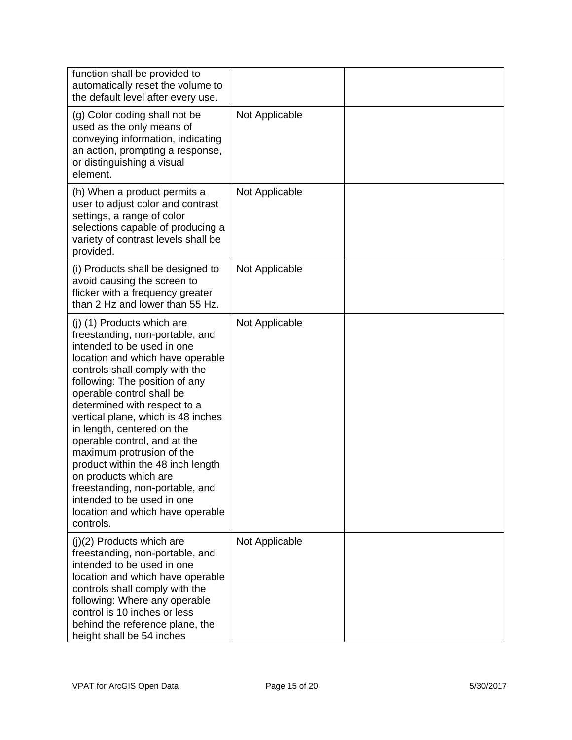| function shall be provided to<br>automatically reset the volume to<br>the default level after every use.                                                                                                                                                                                                                                                                                                                                                                                                                                                                          |                |  |
|-----------------------------------------------------------------------------------------------------------------------------------------------------------------------------------------------------------------------------------------------------------------------------------------------------------------------------------------------------------------------------------------------------------------------------------------------------------------------------------------------------------------------------------------------------------------------------------|----------------|--|
| (g) Color coding shall not be<br>used as the only means of<br>conveying information, indicating<br>an action, prompting a response,<br>or distinguishing a visual<br>element.                                                                                                                                                                                                                                                                                                                                                                                                     | Not Applicable |  |
| (h) When a product permits a<br>user to adjust color and contrast<br>settings, a range of color<br>selections capable of producing a<br>variety of contrast levels shall be<br>provided.                                                                                                                                                                                                                                                                                                                                                                                          | Not Applicable |  |
| (i) Products shall be designed to<br>avoid causing the screen to<br>flicker with a frequency greater<br>than 2 Hz and lower than 55 Hz.                                                                                                                                                                                                                                                                                                                                                                                                                                           | Not Applicable |  |
| (j) (1) Products which are<br>freestanding, non-portable, and<br>intended to be used in one<br>location and which have operable<br>controls shall comply with the<br>following: The position of any<br>operable control shall be<br>determined with respect to a<br>vertical plane, which is 48 inches<br>in length, centered on the<br>operable control, and at the<br>maximum protrusion of the<br>product within the 48 inch length<br>on products which are<br>freestanding, non-portable, and<br>intended to be used in one<br>location and which have operable<br>controls. | Not Applicable |  |
| (j)(2) Products which are<br>freestanding, non-portable, and<br>intended to be used in one<br>location and which have operable<br>controls shall comply with the<br>following: Where any operable<br>control is 10 inches or less<br>behind the reference plane, the<br>height shall be 54 inches                                                                                                                                                                                                                                                                                 | Not Applicable |  |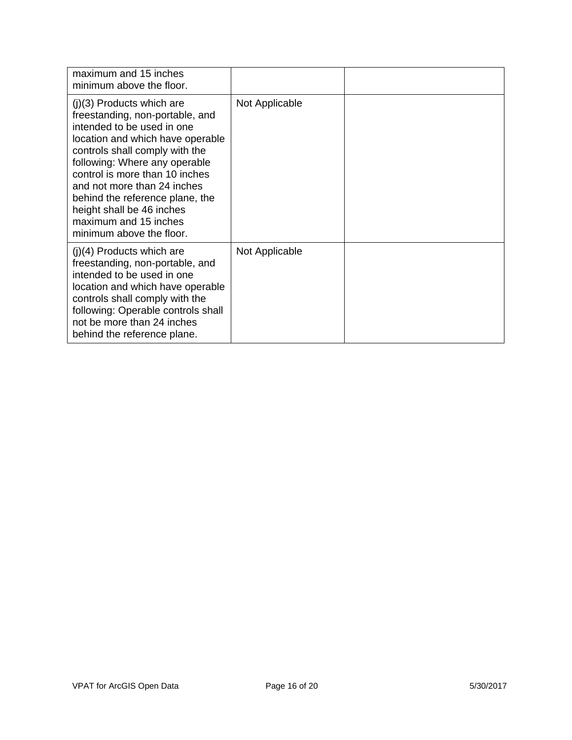| maximum and 15 inches<br>minimum above the floor.                                                                                                                                                                                                                                                                                                                                         |                |  |
|-------------------------------------------------------------------------------------------------------------------------------------------------------------------------------------------------------------------------------------------------------------------------------------------------------------------------------------------------------------------------------------------|----------------|--|
| $(j)(3)$ Products which are<br>freestanding, non-portable, and<br>intended to be used in one<br>location and which have operable<br>controls shall comply with the<br>following: Where any operable<br>control is more than 10 inches<br>and not more than 24 inches<br>behind the reference plane, the<br>height shall be 46 inches<br>maximum and 15 inches<br>minimum above the floor. | Not Applicable |  |
| $(j)(4)$ Products which are<br>freestanding, non-portable, and<br>intended to be used in one<br>location and which have operable<br>controls shall comply with the<br>following: Operable controls shall<br>not be more than 24 inches<br>behind the reference plane.                                                                                                                     | Not Applicable |  |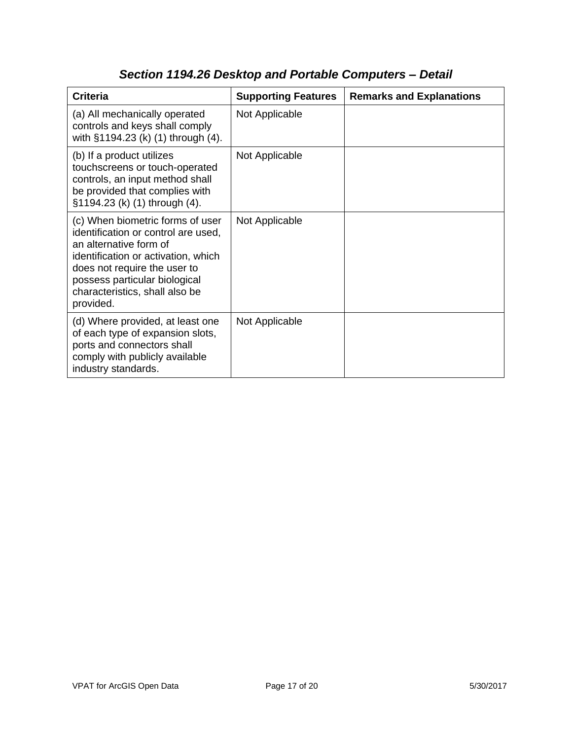| <b>Criteria</b>                                                                                                                                                                                                                                          | <b>Supporting Features</b> | <b>Remarks and Explanations</b> |
|----------------------------------------------------------------------------------------------------------------------------------------------------------------------------------------------------------------------------------------------------------|----------------------------|---------------------------------|
| (a) All mechanically operated<br>controls and keys shall comply<br>with §1194.23 (k) (1) through (4).                                                                                                                                                    | Not Applicable             |                                 |
| (b) If a product utilizes<br>touchscreens or touch-operated<br>controls, an input method shall<br>be provided that complies with<br>§1194.23 (k) (1) through (4).                                                                                        | Not Applicable             |                                 |
| (c) When biometric forms of user<br>identification or control are used,<br>an alternative form of<br>identification or activation, which<br>does not require the user to<br>possess particular biological<br>characteristics, shall also be<br>provided. | Not Applicable             |                                 |
| (d) Where provided, at least one<br>of each type of expansion slots,<br>ports and connectors shall<br>comply with publicly available<br>industry standards.                                                                                              | Not Applicable             |                                 |

# *Section 1194.26 Desktop and Portable Computers – Detail*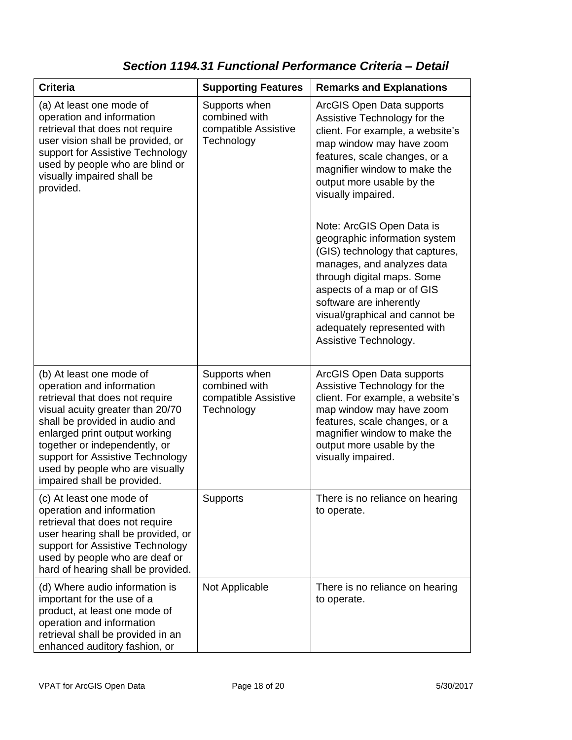## *Section 1194.31 Functional Performance Criteria – Detail*

| <b>Criteria</b>                                                                                                                                                                                                                                                                                                                        | <b>Supporting Features</b>                                           | <b>Remarks and Explanations</b>                                                                                                                                                                                                                                                                              |
|----------------------------------------------------------------------------------------------------------------------------------------------------------------------------------------------------------------------------------------------------------------------------------------------------------------------------------------|----------------------------------------------------------------------|--------------------------------------------------------------------------------------------------------------------------------------------------------------------------------------------------------------------------------------------------------------------------------------------------------------|
| (a) At least one mode of<br>operation and information<br>retrieval that does not require<br>user vision shall be provided, or<br>support for Assistive Technology<br>used by people who are blind or<br>visually impaired shall be<br>provided.                                                                                        | Supports when<br>combined with<br>compatible Assistive<br>Technology | ArcGIS Open Data supports<br>Assistive Technology for the<br>client. For example, a website's<br>map window may have zoom<br>features, scale changes, or a<br>magnifier window to make the<br>output more usable by the<br>visually impaired.                                                                |
|                                                                                                                                                                                                                                                                                                                                        |                                                                      | Note: ArcGIS Open Data is<br>geographic information system<br>(GIS) technology that captures,<br>manages, and analyzes data<br>through digital maps. Some<br>aspects of a map or of GIS<br>software are inherently<br>visual/graphical and cannot be<br>adequately represented with<br>Assistive Technology. |
| (b) At least one mode of<br>operation and information<br>retrieval that does not require<br>visual acuity greater than 20/70<br>shall be provided in audio and<br>enlarged print output working<br>together or independently, or<br>support for Assistive Technology<br>used by people who are visually<br>impaired shall be provided. | Supports when<br>combined with<br>compatible Assistive<br>Technology | ArcGIS Open Data supports<br>Assistive Technology for the<br>client. For example, a website's<br>map window may have zoom<br>features, scale changes, or a<br>magnifier window to make the<br>output more usable by the<br>visually impaired.                                                                |
| (c) At least one mode of<br>operation and information<br>retrieval that does not require<br>user hearing shall be provided, or<br>support for Assistive Technology<br>used by people who are deaf or<br>hard of hearing shall be provided.                                                                                             | Supports                                                             | There is no reliance on hearing<br>to operate.                                                                                                                                                                                                                                                               |
| (d) Where audio information is<br>important for the use of a<br>product, at least one mode of<br>operation and information<br>retrieval shall be provided in an<br>enhanced auditory fashion, or                                                                                                                                       | Not Applicable                                                       | There is no reliance on hearing<br>to operate.                                                                                                                                                                                                                                                               |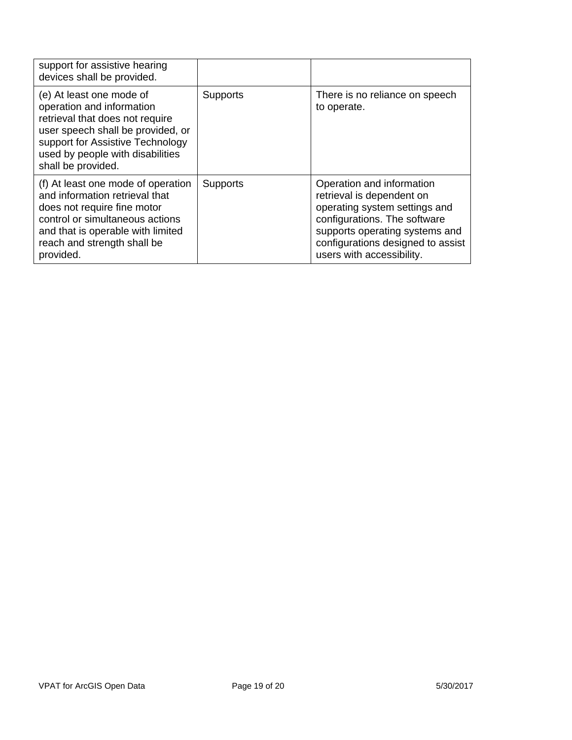| support for assistive hearing<br>devices shall be provided.                                                                                                                                                                 |                 |                                                                                                                                                                                                                             |
|-----------------------------------------------------------------------------------------------------------------------------------------------------------------------------------------------------------------------------|-----------------|-----------------------------------------------------------------------------------------------------------------------------------------------------------------------------------------------------------------------------|
| (e) At least one mode of<br>operation and information<br>retrieval that does not require<br>user speech shall be provided, or<br>support for Assistive Technology<br>used by people with disabilities<br>shall be provided. | <b>Supports</b> | There is no reliance on speech<br>to operate.                                                                                                                                                                               |
| (f) At least one mode of operation<br>and information retrieval that<br>does not require fine motor<br>control or simultaneous actions<br>and that is operable with limited<br>reach and strength shall be<br>provided.     | Supports        | Operation and information<br>retrieval is dependent on<br>operating system settings and<br>configurations. The software<br>supports operating systems and<br>configurations designed to assist<br>users with accessibility. |